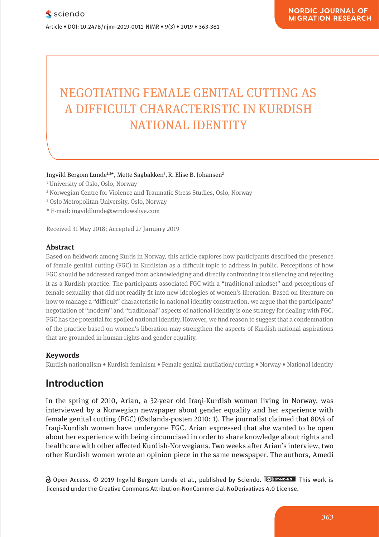# NEGOTIATING FEMALE GENITAL CUTTING AS A DIFFICULT CHARACTERISTIC IN KURDISH NATIONAL IDENTITY **NATIONAL** WINDOWN IDENTITY

**Pharmacological and Mental Self-transformation in Ethic** 

Ingvild Bergom Lunde<sup>1,2\*</sup>, Mette Sagbakken<sup>3</sup>, R. Elise B. Johansen<sup>2</sup>

- 1 University of Oslo, Oslo, Norway
- ' University of Oslo, Oslo, Norway<br><sup>2</sup> Norwegian Centre for Violence and Traumatic Stress Studies, Oslo, Norway
- <sup>3</sup> Oslo Metropolitan University, Oslo, Norway
- \* E-mail: ingvildlunde@windowslive.com

Received 31 May 2018; Accepted 27 January 2019

#### **Abstract Absorption**  $\mathbf{A}$  is a soon of the action of the aesthetic formation of  $\mathbf{A}$  is as soon of  $\mathbf{A}$  is as soon of  $\mathbf{A}$  is as soon of  $\mathbf{A}$  is as soon of  $\mathbf{A}$  is as soon of  $\mathbf{A}$  is a soon of  $\mathbf{A}$

Based on fieldwork among Kurds in Norway, this article explores how participants described the presence of female genital cutting (FGC) in Kurdistan as a difficult topic to address in public. Perceptions of how FGC should be addressed ranged from acknowledging and directly confronting it to silencing and rejecting roc should be addressed ranged from acknowledging and directly comforting it to shencing and rejecting<br>it as a Kurdish practice. The participants associated FGC with a "traditional mindset" and perceptions of reading the distribution producer the participants associated 100 min a chambonal initiated and perceptions of<br>female sexuality that did not readily fit into new ideologies of women's liberation. Based on literature on how to manage a "difficult" characteristic in national identity construction, we argue that the participants'<br>The participants' person in the participal of the participal, person in the participal of the participal of the negotiation of "modern" and "traditional" aspects of national identity is one strategy for dealing with FGC. FGC has the potential for spoiled national identity. However, we find reason to suggest that a condemnation of the practice based on women's liberation may strengthen the aspects of Kurdish national aspirations that are grounded in human rights and gender equality.

#### **Keywords**

Journal xyz 2017; 1 (2): 122–135

Kurdish nationalism • Kurdish feminism • Female genital mutilation/cutting • Norway • National identity **1 Studies and Investigations**

### **Introduction** also includes the period between the entry into force and period between the entry into force and

.<br>In the spring of 2010, Arian, a 32-year old Iraqi-Kurdish woman living in Norway, was interviewed by a Norwegian newspaper about gender equality and her experience with female genital cutting (FGC) (Østlands-posten 2010: 1). The journalist claimed that 80% of Iraqi-Kurdish women have undergone FGC. Arian expressed that she wanted to be open about her experience with being circumcised in order to share knowledge about rights and healthcare with other affected Kurdish-Norwegians. Two weeks after Arian's interview, two other Kurdish women wrote an opinion piece in the same newspaper. The authors, Amedi te spring or 2010, Arian, a  $22-y$ 

Open Access. © 2019 Ingvild Bergom Lunde et al., published by Sciendo. **CO BYNICADD** This work is licensed under the Creative Commons Attribution-NonCommercial-NoDerivatives 4.0 License. licensed under the Creative Commons Attribution-NonCommercial-NoDerivatives 4.0 License.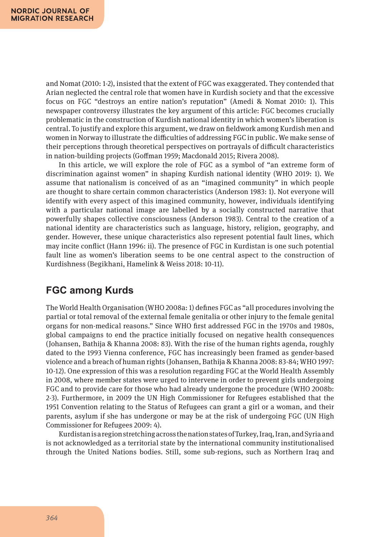and Nomat (2010: 1-2), insisted that the extent of FGC was exaggerated. They contended that Arian neglected the central role that women have in Kurdish society and that the excessive focus on FGC "destroys an entire nation's reputation" (Amedi & Nomat 2010: 1). This newspaper controversy illustrates the key argument of this article: FGC becomes crucially problematic in the construction of Kurdish national identity in which women's liberation is central. To justify and explore this argument, we draw on fieldwork among Kurdish men and women in Norway to illustrate the difficulties of addressing FGC in public. We make sense of their perceptions through theoretical perspectives on portrayals of difficult characteristics in nation-building projects (Goffman 1959; Macdonald 2015; Rivera 2008).

In this article, we will explore the role of FGC as a symbol of "an extreme form of discrimination against women" in shaping Kurdish national identity (WHO 2019: 1). We assume that nationalism is conceived of as an "imagined community" in which people are thought to share certain common characteristics (Anderson 1983: 1). Not everyone will identify with every aspect of this imagined community, however, individuals identifying with a particular national image are labelled by a socially constructed narrative that powerfully shapes collective consciousness (Anderson 1983). Central to the creation of a national identity are characteristics such as language, history, religion, geography, and gender. However, these unique characteristics also represent potential fault lines, which may incite conflict (Hann 1996: ii). The presence of FGC in Kurdistan is one such potential fault line as women's liberation seems to be one central aspect to the construction of Kurdishness (Begikhani, Hamelink & Weiss 2018: 10-11).

# **FGC among Kurds**

The World Health Organisation (WHO 2008a: 1) defines FGC as "all procedures involving the partial or total removal of the external female genitalia or other injury to the female genital organs for non-medical reasons." Since WHO first addressed FGC in the 1970s and 1980s, global campaigns to end the practice initially focused on negative health consequences (Johansen, Bathija & Khanna 2008: 83). With the rise of the human rights agenda, roughly dated to the 1993 Vienna conference, FGC has increasingly been framed as gender-based violence and a breach of human rights (Johansen, Bathija & Khanna 2008: 83-84; WHO 1997: 10-12). One expression of this was a resolution regarding FGC at the World Health Assembly in 2008, where member states were urged to intervene in order to prevent girls undergoing FGC and to provide care for those who had already undergone the procedure (WHO 2008b: 2-3). Furthermore, in 2009 the UN High Commissioner for Refugees established that the 1951 Convention relating to the Status of Refugees can grant a girl or a woman, and their parents, asylum if she has undergone or may be at the risk of undergoing FGC (UN High Commissioner for Refugees 2009: 4).

Kurdistan is a region stretching across the nation states of Turkey, Iraq, Iran, and Syria and is not acknowledged as a territorial state by the international community institutionalised through the United Nations bodies. Still, some sub-regions, such as Northern Iraq and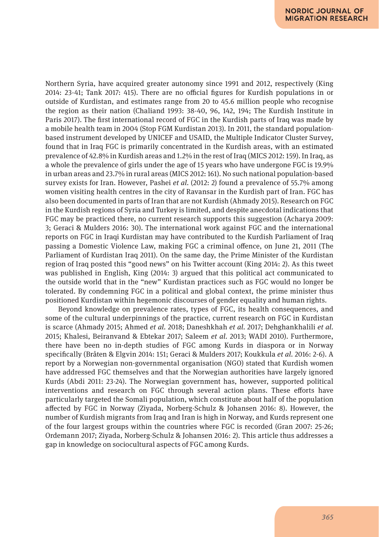Northern Syria, have acquired greater autonomy since 1991 and 2012, respectively (King 2014: 23-41; Tank 2017: 415). There are no official figures for Kurdish populations in or outside of Kurdistan, and estimates range from 20 to 45.6 million people who recognise the region as their nation (Chaliand 1993: 38-40, 96, 142, 194; The Kurdish Institute in Paris 2017). The first international record of FGC in the Kurdish parts of Iraq was made by a mobile health team in 2004 (Stop FGM Kurdistan 2013). In 2011, the standard populationbased instrument developed by UNICEF and USAID, the Multiple Indicator Cluster Survey, found that in Iraq FGC is primarily concentrated in the Kurdish areas, with an estimated prevalence of 42.8% in Kurdish areas and 1.2% in the rest of Iraq (MICS 2012: 159). In Iraq, as a whole the prevalence of girls under the age of 15 years who have undergone FGC is 19.9% in urban areas and 23.7% in rural areas (MICS 2012: 161). No such national population-based survey exists for Iran. However, Pashei *et al.* (2012: 2) found a prevalence of 55.7% among women visiting health centres in the city of Ravansar in the Kurdish part of Iran. FGC has also been documented in parts of Iran that are not Kurdish (Ahmady 2015). Research on FGC in the Kurdish regions of Syria and Turkey is limited, and despite anecdotal indications that FGC may be practiced there, no current research supports this suggestion (Acharya 2009: 3; Geraci & Mulders 2016: 30). The international work against FGC and the international reports on FGC in Iraqi Kurdistan may have contributed to the Kurdish Parliament of Iraq passing a Domestic Violence Law, making FGC a criminal offence, on June 21, 2011 (The Parliament of Kurdistan Iraq 2011). On the same day, the Prime Minister of the Kurdistan region of Iraq posted this "good news" on his Twitter account (King 2014: 2). As this tweet was published in English, King (2014: 3) argued that this political act communicated to the outside world that in the "new" Kurdistan practices such as FGC would no longer be tolerated. By condemning FGC in a political and global context, the prime minister thus positioned Kurdistan within hegemonic discourses of gender equality and human rights.

Beyond knowledge on prevalence rates, types of FGC, its health consequences, and some of the cultural underpinnings of the practice, current research on FGC in Kurdistan is scarce (Ahmady 2015; Ahmed *et al.* 2018; Daneshkhah *et al.* 2017; Dehghankhalili *et al.* 2015; Khalesi, Beiranvand & Ebtekar 2017; Saleem *et al.* 2013; WADI 2010). Furthermore, there have been no in-depth studies of FGC among Kurds in diaspora or in Norway specifically (Bråten & Elgvin 2014: 151; Geraci & Mulders 2017; Koukkula *et al.* 2016: 2-6). A report by a Norwegian non-governmental organisation (NGO) stated that Kurdish women have addressed FGC themselves and that the Norwegian authorities have largely ignored Kurds (Abdi 2011: 23-24). The Norwegian government has, however, supported political interventions and research on FGC through several action plans. These efforts have particularly targeted the Somali population, which constitute about half of the population affected by FGC in Norway (Ziyada, Norberg-Schulz & Johansen 2016: 8). However, the number of Kurdish migrants from Iraq and Iran is high in Norway, and Kurds represent one of the four largest groups within the countries where FGC is recorded (Gran 2007: 25-26; Ordemann 2017; Ziyada, Norberg-Schulz & Johansen 2016: 2). This article thus addresses a gap in knowledge on sociocultural aspects of FGC among Kurds.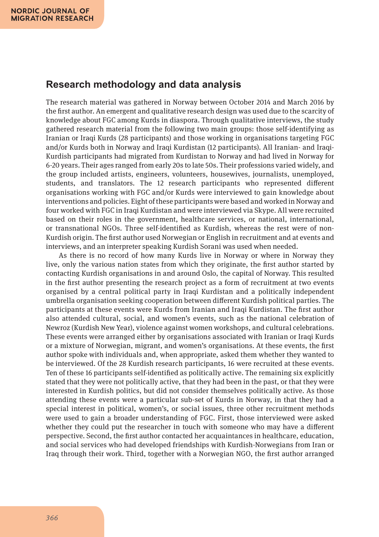### **Research methodology and data analysis**

The research material was gathered in Norway between October 2014 and March 2016 by the first author. An emergent and qualitative research design was used due to the scarcity of knowledge about FGC among Kurds in diaspora. Through qualitative interviews, the study gathered research material from the following two main groups: those self-identifying as Iranian or Iraqi Kurds (28 participants) and those working in organisations targeting FGC and/or Kurds both in Norway and Iraqi Kurdistan (12 participants). All Iranian- and Iraqi-Kurdish participants had migrated from Kurdistan to Norway and had lived in Norway for 6-20 years. Their ages ranged from early 20s to late 50s. Their professions varied widely, and the group included artists, engineers, volunteers, housewives, journalists, unemployed, students, and translators. The 12 research participants who represented different organisations working with FGC and/or Kurds were interviewed to gain knowledge about interventions and policies. Eight of these participants were based and worked in Norway and four worked with FGC in Iraqi Kurdistan and were interviewed via Skype. All were recruited based on their roles in the government, healthcare services, or national, international, or transnational NGOs. Three self-identified as Kurdish, whereas the rest were of non-Kurdish origin. The first author used Norwegian or English in recruitment and at events and interviews, and an interpreter speaking Kurdish Sorani was used when needed.

As there is no record of how many Kurds live in Norway or where in Norway they live, only the various nation states from which they originate, the first author started by contacting Kurdish organisations in and around Oslo, the capital of Norway. This resulted in the first author presenting the research project as a form of recruitment at two events organised by a central political party in Iraqi Kurdistan and a politically independent umbrella organisation seeking cooperation between different Kurdish political parties. The participants at these events were Kurds from Iranian and Iraqi Kurdistan. The first author also attended cultural, social, and women's events, such as the national celebration of Newroz (Kurdish New Year), violence against women workshops, and cultural celebrations. These events were arranged either by organisations associated with Iranian or Iraqi Kurds or a mixture of Norwegian, migrant, and women's organisations. At these events, the first author spoke with individuals and, when appropriate, asked them whether they wanted to be interviewed. Of the 28 Kurdish research participants, 16 were recruited at these events. Ten of these 16 participants self-identified as politically active. The remaining six explicitly stated that they were not politically active, that they had been in the past, or that they were interested in Kurdish politics, but did not consider themselves politically active. As those attending these events were a particular sub-set of Kurds in Norway, in that they had a special interest in political, women's, or social issues, three other recruitment methods were used to gain a broader understanding of FGC. First, those interviewed were asked whether they could put the researcher in touch with someone who may have a different perspective. Second, the first author contacted her acquaintances in healthcare, education, and social services who had developed friendships with Kurdish-Norwegians from Iran or Iraq through their work. Third, together with a Norwegian NGO, the first author arranged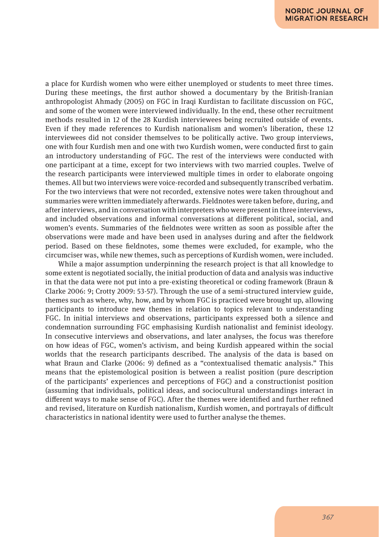a place for Kurdish women who were either unemployed or students to meet three times. During these meetings, the first author showed a documentary by the British-Iranian anthropologist Ahmady (2005) on FGC in Iraqi Kurdistan to facilitate discussion on FGC, and some of the women were interviewed individually. In the end, these other recruitment methods resulted in 12 of the 28 Kurdish interviewees being recruited outside of events. Even if they made references to Kurdish nationalism and women's liberation, these 12 interviewees did not consider themselves to be politically active. Two group interviews, one with four Kurdish men and one with two Kurdish women, were conducted first to gain an introductory understanding of FGC. The rest of the interviews were conducted with one participant at a time, except for two interviews with two married couples. Twelve of the research participants were interviewed multiple times in order to elaborate ongoing themes. All but two interviews were voice-recorded and subsequently transcribed verbatim. For the two interviews that were not recorded, extensive notes were taken throughout and summaries were written immediately afterwards. Fieldnotes were taken before, during, and after interviews, and in conversation with interpreters who were present in three interviews, and included observations and informal conversations at different political, social, and women's events. Summaries of the fieldnotes were written as soon as possible after the observations were made and have been used in analyses during and after the fieldwork period. Based on these fieldnotes, some themes were excluded, for example, who the circumciser was, while new themes, such as perceptions of Kurdish women, were included.

While a major assumption underpinning the research project is that all knowledge to some extent is negotiated socially, the initial production of data and analysis was inductive in that the data were not put into a pre-existing theoretical or coding framework (Braun & Clarke 2006: 9; Crotty 2009: 53-57). Through the use of a semi-structured interview guide, themes such as where, why, how, and by whom FGC is practiced were brought up, allowing participants to introduce new themes in relation to topics relevant to understanding FGC. In initial interviews and observations, participants expressed both a silence and condemnation surrounding FGC emphasising Kurdish nationalist and feminist ideology. In consecutive interviews and observations, and later analyses, the focus was therefore on how ideas of FGC, women's activism, and being Kurdish appeared within the social worlds that the research participants described. The analysis of the data is based on what Braun and Clarke (2006: 9) defined as a "contextualised thematic analysis." This means that the epistemological position is between a realist position (pure description of the participants' experiences and perceptions of FGC) and a constructionist position (assuming that individuals, political ideas, and sociocultural understandings interact in different ways to make sense of FGC). After the themes were identified and further refined and revised, literature on Kurdish nationalism, Kurdish women, and portrayals of difficult characteristics in national identity were used to further analyse the themes.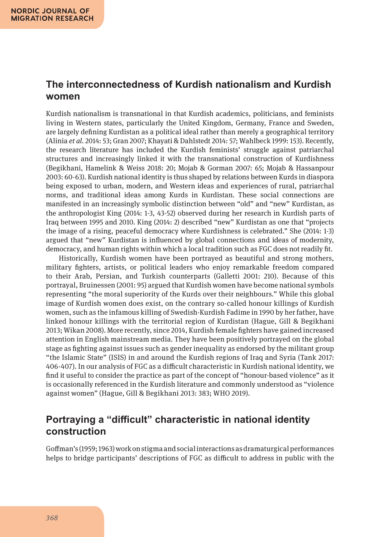### **The interconnectedness of Kurdish nationalism and Kurdish women**

Kurdish nationalism is transnational in that Kurdish academics, politicians, and feminists living in Western states, particularly the United Kingdom, Germany, France and Sweden, are largely defining Kurdistan as a political ideal rather than merely a geographical territory (Alinia *et al.* 2014: 53; Gran 2007; Khayati & Dahlstedt 2014: 57; Wahlbeck 1999: 153). Recently, the research literature has included the Kurdish feminists' struggle against patriarchal structures and increasingly linked it with the transnational construction of Kurdishness (Begikhani, Hamelink & Weiss 2018: 20; Mojab & Gorman 2007: 65; Mojab & Hassanpour 2003: 60-63). Kurdish national identity is thus shaped by relations between Kurds in diaspora being exposed to urban, modern, and Western ideas and experiences of rural, patriarchal norms, and traditional ideas among Kurds in Kurdistan. These social connections are manifested in an increasingly symbolic distinction between "old" and "new" Kurdistan, as the anthropologist King (2014: 1-3, 43-52) observed during her research in Kurdish parts of Iraq between 1995 and 2010. King (2014: 2) described "new" Kurdistan as one that "projects the image of a rising, peaceful democracy where Kurdishness is celebrated." She (2014: 1-3) argued that "new" Kurdistan is influenced by global connections and ideas of modernity, democracy, and human rights within which a local tradition such as FGC does not readily fit.

Historically, Kurdish women have been portrayed as beautiful and strong mothers, military fighters, artists, or political leaders who enjoy remarkable freedom compared to their Arab, Persian, and Turkish counterparts (Galletti 2001: 210). Because of this portrayal, Bruinessen (2001: 95) argued that Kurdish women have become national symbols representing "the moral superiority of the Kurds over their neighbours." While this global image of Kurdish women does exist, on the contrary so-called honour killings of Kurdish women, such as the infamous killing of Swedish-Kurdish Fadime in 1990 by her father, have linked honour killings with the territorial region of Kurdistan (Hague, Gill & Begikhani 2013; Wikan 2008). More recently, since 2014, Kurdish female fighters have gained increased attention in English mainstream media. They have been positively portrayed on the global stage as fighting against issues such as gender inequality as endorsed by the militant group "the Islamic State" (ISIS) in and around the Kurdish regions of Iraq and Syria (Tank 2017: 406-407). In our analysis of FGC as a difficult characteristic in Kurdish national identity, we find it useful to consider the practice as part of the concept of "honour-based violence" as it is occasionally referenced in the Kurdish literature and commonly understood as "violence against women" (Hague, Gill & Begikhani 2013: 383; WHO 2019).

# **Portraying a "difficult" characteristic in national identity construction**

Goffman's (1959; 1963) work on stigma and social interactions as dramaturgical performances helps to bridge participants' descriptions of FGC as difficult to address in public with the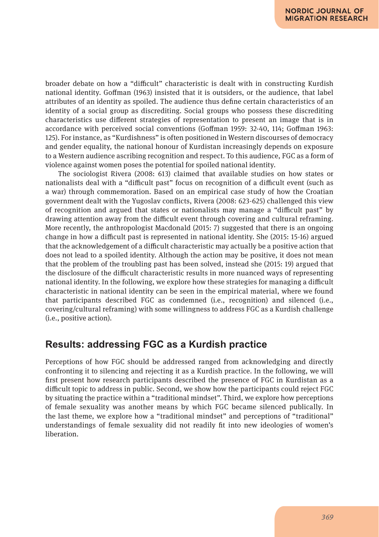broader debate on how a "difficult" characteristic is dealt with in constructing Kurdish national identity. Goffman (1963) insisted that it is outsiders, or the audience, that label attributes of an identity as spoiled. The audience thus define certain characteristics of an identity of a social group as discrediting. Social groups who possess these discrediting characteristics use different strategies of representation to present an image that is in accordance with perceived social conventions (Goffman 1959: 32-40, 114; Goffman 1963: 125). For instance, as "Kurdishness" is often positioned in Western discourses of democracy and gender equality, the national honour of Kurdistan increasingly depends on exposure to a Western audience ascribing recognition and respect. To this audience, FGC as a form of violence against women poses the potential for spoiled national identity.

The sociologist Rivera (2008: 613) claimed that available studies on how states or nationalists deal with a "difficult past" focus on recognition of a difficult event (such as a war) through commemoration. Based on an empirical case study of how the Croatian government dealt with the Yugoslav conflicts, Rivera (2008: 623-625) challenged this view of recognition and argued that states or nationalists may manage a "difficult past" by drawing attention away from the difficult event through covering and cultural reframing. More recently, the anthropologist Macdonald (2015: 7) suggested that there is an ongoing change in how a difficult past is represented in national identity. She (2015: 15-16) argued that the acknowledgement of a difficult characteristic may actually be a positive action that does not lead to a spoiled identity. Although the action may be positive, it does not mean that the problem of the troubling past has been solved, instead she (2015: 19) argued that the disclosure of the difficult characteristic results in more nuanced ways of representing national identity. In the following, we explore how these strategies for managing a difficult characteristic in national identity can be seen in the empirical material, where we found that participants described FGC as condemned (i.e., recognition) and silenced (i.e., covering/cultural reframing) with some willingness to address FGC as a Kurdish challenge (i.e., positive action).

### **Results: addressing FGC as a Kurdish practice**

Perceptions of how FGC should be addressed ranged from acknowledging and directly confronting it to silencing and rejecting it as a Kurdish practice. In the following, we will first present how research participants described the presence of FGC in Kurdistan as a difficult topic to address in public. Second, we show how the participants could reject FGC by situating the practice within a "traditional mindset". Third, we explore how perceptions of female sexuality was another means by which FGC became silenced publically. In the last theme, we explore how a "traditional mindset" and perceptions of "traditional" understandings of female sexuality did not readily fit into new ideologies of women's liberation.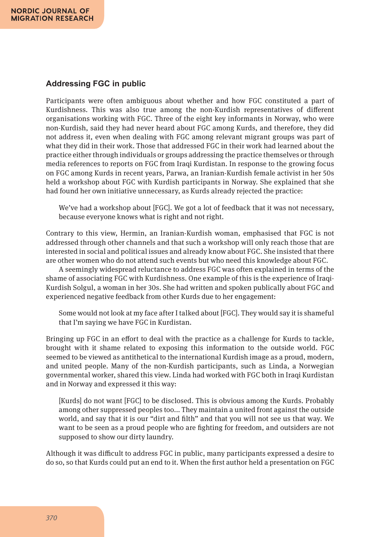#### **Addressing FGC in public**

Participants were often ambiguous about whether and how FGC constituted a part of Kurdishness. This was also true among the non-Kurdish representatives of different organisations working with FGC. Three of the eight key informants in Norway, who were non-Kurdish, said they had never heard about FGC among Kurds, and therefore, they did not address it, even when dealing with FGC among relevant migrant groups was part of what they did in their work. Those that addressed FGC in their work had learned about the practice either through individuals or groups addressing the practice themselves or through media references to reports on FGC from Iraqi Kurdistan. In response to the growing focus on FGC among Kurds in recent years, Parwa, an Iranian-Kurdish female activist in her 50s held a workshop about FGC with Kurdish participants in Norway. She explained that she had found her own initiative unnecessary, as Kurds already rejected the practice:

We've had a workshop about [FGC]. We got a lot of feedback that it was not necessary, because everyone knows what is right and not right.

Contrary to this view, Hermin, an Iranian-Kurdish woman, emphasised that FGC is not addressed through other channels and that such a workshop will only reach those that are interested in social and political issues and already know about FGC. She insisted that there are other women who do not attend such events but who need this knowledge about FGC.

A seemingly widespread reluctance to address FGC was often explained in terms of the shame of associating FGC with Kurdishness. One example of this is the experience of Iraqi-Kurdish Solgul, a woman in her 30s. She had written and spoken publically about FGC and experienced negative feedback from other Kurds due to her engagement:

Some would not look at my face after I talked about [FGC]. They would say it is shameful that I'm saying we have FGC in Kurdistan.

Bringing up FGC in an effort to deal with the practice as a challenge for Kurds to tackle, brought with it shame related to exposing this information to the outside world. FGC seemed to be viewed as antithetical to the international Kurdish image as a proud, modern, and united people. Many of the non-Kurdish participants, such as Linda, a Norwegian governmental worker, shared this view. Linda had worked with FGC both in Iraqi Kurdistan and in Norway and expressed it this way:

[Kurds] do not want [FGC] to be disclosed. This is obvious among the Kurds. Probably among other suppressed peoples too... They maintain a united front against the outside world, and say that it is our "dirt and filth" and that you will not see us that way. We want to be seen as a proud people who are fighting for freedom, and outsiders are not supposed to show our dirty laundry.

Although it was difficult to address FGC in public, many participants expressed a desire to do so, so that Kurds could put an end to it. When the first author held a presentation on FGC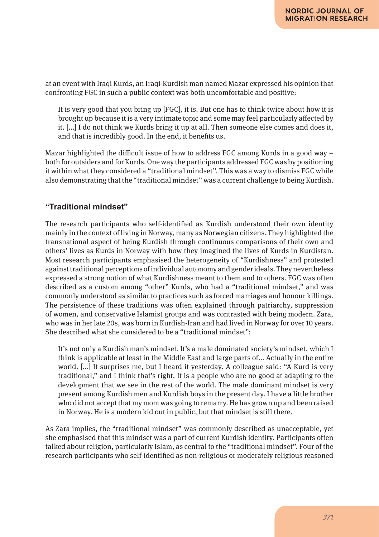at an event with Iraqi Kurds, an Iraqi-Kurdish man named Mazar expressed his opinion that confronting FGC in such a public context was both uncomfortable and positive:

It is very good that you bring up [FGC], it is. But one has to think twice about how it is brought up because it is a very intimate topic and some may feel particularly affected by it. [...] I do not think we Kurds bring it up at all. Then someone else comes and does it, and that is incredibly good. In the end, it benefits us.

Mazar highlighted the difficult issue of how to address FGC among Kurds in a good way  $$ both for outsiders and for Kurds. One way the participants addressed FGC was by positioning it within what they considered a "traditional mindset". This was a way to dismiss FGC while also demonstrating that the "traditional mindset" was a current challenge to being Kurdish.

### **"Traditional mindset"**

The research participants who self-identified as Kurdish understood their own identity mainly in the context of living in Norway, many as Norwegian citizens. They highlighted the transnational aspect of being Kurdish through continuous comparisons of their own and others' lives as Kurds in Norway with how they imagined the lives of Kurds in Kurdistan. Most research participants emphasised the heterogeneity of "Kurdishness" and protested against traditional perceptions of individual autonomy and gender ideals. They nevertheless expressed a strong notion of what Kurdishness meant to them and to others. FGC was often described as a custom among "other" Kurds, who had a "traditional mindset," and was commonly understood as similar to practices such as forced marriages and honour killings. The persistence of these traditions was often explained through patriarchy, suppression of women, and conservative Islamist groups and was contrasted with being modern. Zara, who was in her late 20s, was born in Kurdish-Iran and had lived in Norway for over 10 years. She described what she considered to be a "traditional mindset":

It's not only a Kurdish man's mindset. It's a male dominated society's mindset, which I think is applicable at least in the Middle East and large parts of... Actually in the entire world. [...] It surprises me, but I heard it yesterday. A colleague said: "A Kurd is very traditional," and I think that's right. It is a people who are no good at adapting to the development that we see in the rest of the world. The male dominant mindset is very present among Kurdish men and Kurdish boys in the present day. I have a little brother who did not accept that my mom was going to remarry. He has grown up and been raised in Norway. He is a modern kid out in public, but that mindset is still there.

As Zara implies, the "traditional mindset" was commonly described as unacceptable, yet she emphasised that this mindset was a part of current Kurdish identity. Participants often talked about religion, particularly Islam, as central to the "traditional mindset". Four of the research participants who self-identified as non-religious or moderately religious reasoned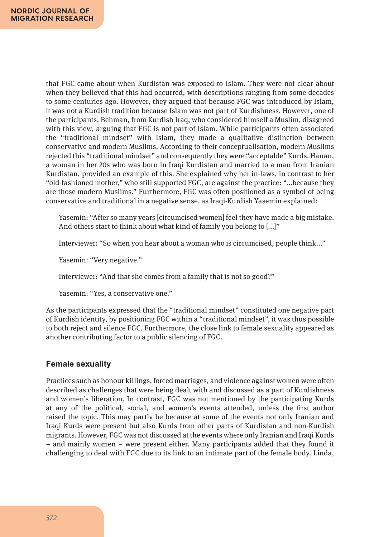that FGC came about when Kurdistan was exposed to Islam. They were not clear about when they believed that this had occurred, with descriptions ranging from some decades to some centuries ago. However, they argued that because FGC was introduced by Islam, it was not a Kurdish tradition because Islam was not part of Kurdishness. However, one of the participants, Behman, from Kurdish Iraq, who considered himself a Muslim, disagreed with this view, arguing that FGC is not part of Islam. While participants often associated the "traditional mindset" with Islam, they made a qualitative distinction between conservative and modern Muslims. According to their conceptualisation, modern Muslims rejected this "traditional mindset" and consequently they were "acceptable" Kurds. Hanan, a woman in her 20s who was born in Iraqi Kurdistan and married to a man from Iranian Kurdistan, provided an example of this. She explained why her in-laws, in contrast to her "old-fashioned mother," who still supported FGC, are against the practice: "...because they are those modern Muslims." Furthermore, FGC was often positioned as a symbol of being conservative and traditional in a negative sense, as Iraqi-Kurdish Yasemin explained:

Yasemin: "After so many years [circumcised women] feel they have made a big mistake. And others start to think about what kind of family you belong to [...]"

Interviewer: "So when you hear about a woman who is circumcised, people think..."

Yasemin: "Very negative."

Interviewer: "And that she comes from a family that is not so good?"

Yasemin: "Yes, a conservative one."

As the participants expressed that the "traditional mindset" constituted one negative part of Kurdish identity, by positioning FGC within a "traditional mindset", it was thus possible to both reject and silence FGC. Furthermore, the close link to female sexuality appeared as another contributing factor to a public silencing of FGC.

#### **Female sexuality**

Practices such as honour killings, forced marriages, and violence against women were often described as challenges that were being dealt with and discussed as a part of Kurdishness and women's liberation. In contrast, FGC was not mentioned by the participating Kurds at any of the political, social, and women's events attended, unless the first author raised the topic. This may partly be because at some of the events not only Iranian and Iraqi Kurds were present but also Kurds from other parts of Kurdistan and non-Kurdish migrants. However, FGC was not discussed at the events where only Iranian and Iraqi Kurds – and mainly women – were present either. Many participants added that they found it challenging to deal with FGC due to its link to an intimate part of the female body. Linda,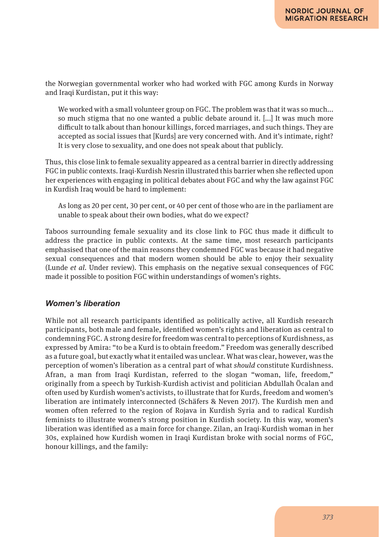the Norwegian governmental worker who had worked with FGC among Kurds in Norway and Iraqi Kurdistan, put it this way:

We worked with a small volunteer group on FGC. The problem was that it was so much... so much stigma that no one wanted a public debate around it. [...] It was much more difficult to talk about than honour killings, forced marriages, and such things. They are accepted as social issues that [Kurds] are very concerned with. And it's intimate, right? It is very close to sexuality, and one does not speak about that publicly.

Thus, this close link to female sexuality appeared as a central barrier in directly addressing FGC in public contexts. Iraqi-Kurdish Nesrin illustrated this barrier when she reflected upon her experiences with engaging in political debates about FGC and why the law against FGC in Kurdish Iraq would be hard to implement:

As long as 20 per cent, 30 per cent, or 40 per cent of those who are in the parliament are unable to speak about their own bodies, what do we expect?

Taboos surrounding female sexuality and its close link to FGC thus made it difficult to address the practice in public contexts. At the same time, most research participants emphasised that one of the main reasons they condemned FGC was because it had negative sexual consequences and that modern women should be able to enjoy their sexuality (Lunde *et al.* Under review). This emphasis on the negative sexual consequences of FGC made it possible to position FGC within understandings of women's rights.

### *Women's liberation*

While not all research participants identified as politically active, all Kurdish research participants, both male and female, identified women's rights and liberation as central to condemning FGC. A strong desire for freedom was central to perceptions of Kurdishness, as expressed by Amira: "to be a Kurd is to obtain freedom." Freedom was generally described as a future goal, but exactly what it entailed was unclear. What was clear, however, was the perception of women's liberation as a central part of what *should* constitute Kurdishness. Afran, a man from Iraqi Kurdistan, referred to the slogan "woman, life, freedom," originally from a speech by Turkish-Kurdish activist and politician Abdullah Öcalan and often used by Kurdish women's activists, to illustrate that for Kurds, freedom and women's liberation are intimately interconnected (Schäfers & Neven 2017). The Kurdish men and women often referred to the region of Rojava in Kurdish Syria and to radical Kurdish feminists to illustrate women's strong position in Kurdish society. In this way, women's liberation was identified as a main force for change. Zilan, an Iraqi-Kurdish woman in her 30s, explained how Kurdish women in Iraqi Kurdistan broke with social norms of FGC, honour killings, and the family: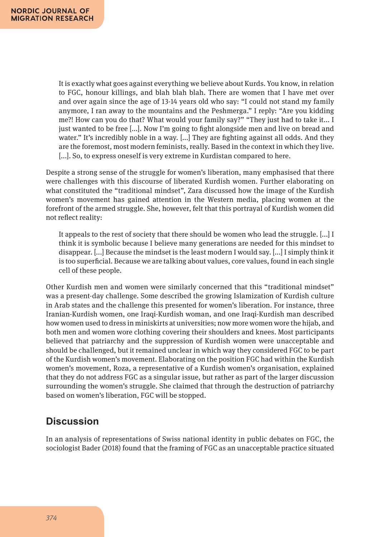It is exactly what goes against everything we believe about Kurds. You know, in relation to FGC, honour killings, and blah blah blah. There are women that I have met over and over again since the age of 13-14 years old who say: "I could not stand my family anymore, I ran away to the mountains and the Peshmerga." I reply: "Are you kidding me?! How can you do that? What would your family say?" "They just had to take it... I just wanted to be free [...]. Now I'm going to fight alongside men and live on bread and water." It's incredibly noble in a way. [...] They are fighting against all odds. And they are the foremost, most modern feminists, really. Based in the context in which they live. [...]. So, to express oneself is very extreme in Kurdistan compared to here.

Despite a strong sense of the struggle for women's liberation, many emphasised that there were challenges with this discourse of liberated Kurdish women. Further elaborating on what constituted the "traditional mindset", Zara discussed how the image of the Kurdish women's movement has gained attention in the Western media, placing women at the forefront of the armed struggle. She, however, felt that this portrayal of Kurdish women did not reflect reality:

It appeals to the rest of society that there should be women who lead the struggle. [...] I think it is symbolic because I believe many generations are needed for this mindset to disappear. [...] Because the mindset is the least modern I would say. [...] I simply think it is too superficial. Because we are talking about values, core values, found in each single cell of these people.

Other Kurdish men and women were similarly concerned that this "traditional mindset" was a present-day challenge. Some described the growing Islamization of Kurdish culture in Arab states and the challenge this presented for women's liberation. For instance, three Iranian-Kurdish women, one Iraqi-Kurdish woman, and one Iraqi-Kurdish man described how women used to dress in miniskirts at universities; now more women wore the hijab, and both men and women wore clothing covering their shoulders and knees. Most participants believed that patriarchy and the suppression of Kurdish women were unacceptable and should be challenged, but it remained unclear in which way they considered FGC to be part of the Kurdish women's movement. Elaborating on the position FGC had within the Kurdish women's movement, Roza, a representative of a Kurdish women's organisation, explained that they do not address FGC as a singular issue, but rather as part of the larger discussion surrounding the women's struggle. She claimed that through the destruction of patriarchy based on women's liberation, FGC will be stopped.

# **Discussion**

In an analysis of representations of Swiss national identity in public debates on FGC, the sociologist Bader (2018) found that the framing of FGC as an unacceptable practice situated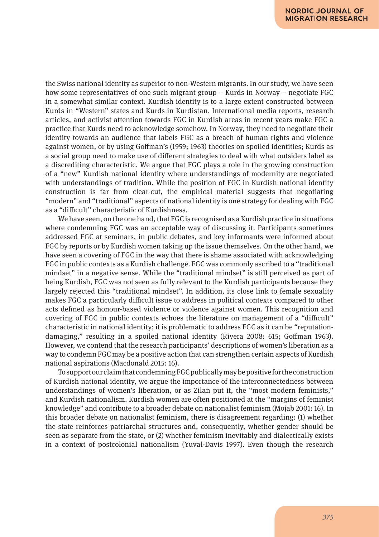the Swiss national identity as superior to non-Western migrants. In our study, we have seen how some representatives of one such migrant group – Kurds in Norway – negotiate FGC in a somewhat similar context. Kurdish identity is to a large extent constructed between Kurds in "Western" states and Kurds in Kurdistan. International media reports, research articles, and activist attention towards FGC in Kurdish areas in recent years make FGC a practice that Kurds need to acknowledge somehow. In Norway, they need to negotiate their identity towards an audience that labels FGC as a breach of human rights and violence against women, or by using Goffman's (1959; 1963) theories on spoiled identities; Kurds as a social group need to make use of different strategies to deal with what outsiders label as a discrediting characteristic. We argue that FGC plays a role in the growing construction of a "new" Kurdish national identity where understandings of modernity are negotiated with understandings of tradition. While the position of FGC in Kurdish national identity construction is far from clear-cut, the empirical material suggests that negotiating "modern" and "traditional" aspects of national identity is one strategy for dealing with FGC as a "difficult" characteristic of Kurdishness.

We have seen, on the one hand, that FGC is recognised as a Kurdish practice in situations where condemning FGC was an acceptable way of discussing it. Participants sometimes addressed FGC at seminars, in public debates, and key informants were informed about FGC by reports or by Kurdish women taking up the issue themselves. On the other hand, we have seen a covering of FGC in the way that there is shame associated with acknowledging FGC in public contexts as a Kurdish challenge. FGC was commonly ascribed to a "traditional mindset" in a negative sense. While the "traditional mindset" is still perceived as part of being Kurdish, FGC was not seen as fully relevant to the Kurdish participants because they largely rejected this "traditional mindset". In addition, its close link to female sexuality makes FGC a particularly difficult issue to address in political contexts compared to other acts defined as honour-based violence or violence against women. This recognition and covering of FGC in public contexts echoes the literature on management of a "difficult" characteristic in national identity; it is problematic to address FGC as it can be "reputationdamaging," resulting in a spoiled national identity (Rivera 2008: 615; Goffman 1963). However, we contend that the research participants' descriptions of women's liberation as a way to condemn FGC may be a positive action that can strengthen certain aspects of Kurdish national aspirations (Macdonald 2015: 16).

To support our claim that condemning FGC publically may be positive for the construction of Kurdish national identity, we argue the importance of the interconnectedness between understandings of women's liberation, or as Zilan put it, the "most modern feminists," and Kurdish nationalism. Kurdish women are often positioned at the "margins of feminist knowledge" and contribute to a broader debate on nationalist feminism (Mojab 2001: 16). In this broader debate on nationalist feminism, there is disagreement regarding: (1) whether the state reinforces patriarchal structures and, consequently, whether gender should be seen as separate from the state, or (2) whether feminism inevitably and dialectically exists in a context of postcolonial nationalism (Yuval-Davis 1997). Even though the research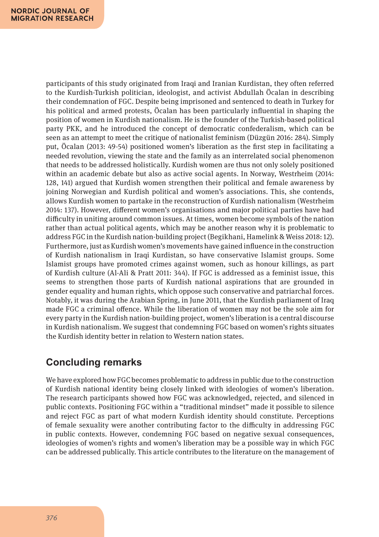participants of this study originated from Iraqi and Iranian Kurdistan, they often referred to the Kurdish-Turkish politician, ideologist, and activist Abdullah Öcalan in describing their condemnation of FGC. Despite being imprisoned and sentenced to death in Turkey for his political and armed protests, Öcalan has been particularly influential in shaping the position of women in Kurdish nationalism. He is the founder of the Turkish-based political party PKK, and he introduced the concept of democratic confederalism, which can be seen as an attempt to meet the critique of nationalist feminism (Düzgün 2016: 284). Simply put, Öcalan (2013: 49-54) positioned women's liberation as the first step in facilitating a needed revolution, viewing the state and the family as an interrelated social phenomenon that needs to be addressed holistically. Kurdish women are thus not only solely positioned within an academic debate but also as active social agents. In Norway, Westrheim (2014: 128, 141) argued that Kurdish women strengthen their political and female awareness by joining Norwegian and Kurdish political and women's associations. This, she contends, allows Kurdish women to partake in the reconstruction of Kurdish nationalism (Westrheim 2014: 137). However, different women's organisations and major political parties have had difficulty in uniting around common issues. At times, women become symbols of the nation rather than actual political agents, which may be another reason why it is problematic to address FGC in the Kurdish nation-building project (Begikhani, Hamelink & Weiss 2018: 12). Furthermore, just as Kurdish women's movements have gained influence in the construction of Kurdish nationalism in Iraqi Kurdistan, so have conservative Islamist groups. Some Islamist groups have promoted crimes against women, such as honour killings, as part of Kurdish culture (Al-Ali & Pratt 2011: 344). If FGC is addressed as a feminist issue, this seems to strengthen those parts of Kurdish national aspirations that are grounded in gender equality and human rights, which oppose such conservative and patriarchal forces. Notably, it was during the Arabian Spring, in June 2011, that the Kurdish parliament of Iraq made FGC a criminal offence. While the liberation of women may not be the sole aim for every party in the Kurdish nation-building project, women's liberation is a central discourse in Kurdish nationalism. We suggest that condemning FGC based on women's rights situates the Kurdish identity better in relation to Western nation states.

# **Concluding remarks**

We have explored how FGC becomes problematic to address in public due to the construction of Kurdish national identity being closely linked with ideologies of women's liberation. The research participants showed how FGC was acknowledged, rejected, and silenced in public contexts. Positioning FGC within a "traditional mindset" made it possible to silence and reject FGC as part of what modern Kurdish identity should constitute. Perceptions of female sexuality were another contributing factor to the difficulty in addressing FGC in public contexts. However, condemning FGC based on negative sexual consequences, ideologies of women's rights and women's liberation may be a possible way in which FGC can be addressed publically. This article contributes to the literature on the management of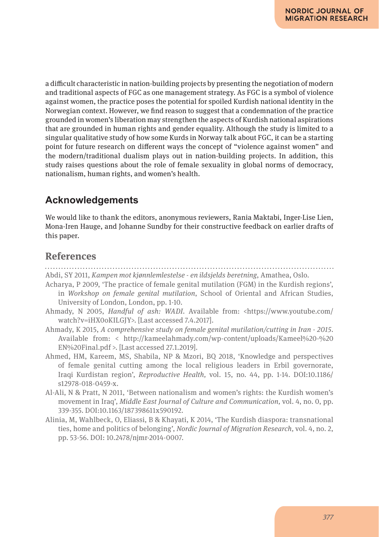a difficult characteristic in nation-building projects by presenting the negotiation of modern and traditional aspects of FGC as one management strategy. As FGC is a symbol of violence against women, the practice poses the potential for spoiled Kurdish national identity in the Norwegian context. However, we find reason to suggest that a condemnation of the practice grounded in women's liberation may strengthen the aspects of Kurdish national aspirations that are grounded in human rights and gender equality. Although the study is limited to a singular qualitative study of how some Kurds in Norway talk about FGC, it can be a starting point for future research on different ways the concept of "violence against women" and the modern/traditional dualism plays out in nation-building projects. In addition, this study raises questions about the role of female sexuality in global norms of democracy, nationalism, human rights, and women's health.

# **Acknowledgements**

We would like to thank the editors, anonymous reviewers, Rania Maktabi, Inger-Lise Lien, Mona-Iren Hauge, and Johanne Sundby for their constructive feedback on earlier drafts of this paper.

### **References**

- Abdi, SY 2011, *Kampen mot kjønnlemlestelse en ildsjelds beretning*, Amathea, Oslo.
- Acharya, P 2009, 'The practice of female genital mutilation (FGM) in the Kurdish regions', in *Workshop on female genital mutilation*, School of Oriental and African Studies, University of London, London, pp. 1-10.
- Ahmady, N 2005, *Handful of ash: WADI*. Available from: <https://www.youtube.com/ watch?v=iHX0oKILGJY>. [Last accessed 7.4.2017].
- Ahmady, K 2015, *A comprehensive study on female genital mutilation/cutting in Iran 2015*. Available from: < http://kameelahmady.com/wp-content/uploads/Kameel%20-%20 EN%20Final.pdf >. [Last accessed 27.1.2019].
- Ahmed, HM, Kareem, MS, Shabila, NP & Mzori, BQ 2018, 'Knowledge and perspectives of female genital cutting among the local religious leaders in Erbil governorate, Iraqi Kurdistan region', *Reproductive Health,* vol. 15, no. 44, pp. 1-14. DOI:10.1186/ s12978-018-0459-x.
- Al-Ali, N & Pratt, N 2011, 'Between nationalism and women's rights: the Kurdish women's movement in Iraq', *Middle East Journal of Culture and Communication,* vol. 4, no. 0, pp. 339-355. DOI:10.1163/187398611x590192.
- Alinia, M, Wahlbeck, O, Eliassi, B & Khayati, K 2014, 'The Kurdish diaspora: transnational ties, home and politics of belonging', *Nordic Journal of Migration Research,* vol. 4, no. 2, pp. 53-56. DOI: 10.2478/njmr-2014-0007.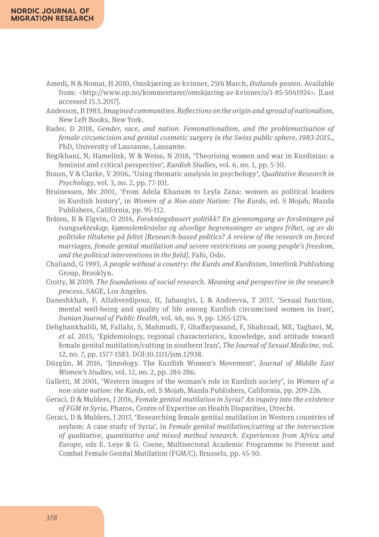- Amedi, N & Nomat, H 2010, Omskjæring av kvinner, 25th March, *Østlands-posten.* Available from: <http://www.op.no/kommentarer/omskjaring-av-kvinner/o/1-85-5041924>. [Last accessed 15.5.2017].
- Anderson, B 1983, *Imagined communities. Reflections on the origin and spread of nationalism,*  New Left Books, New York.
- Bader, D 2018, *Gender, race, and nation. Femonationalism, and the problematisation of female circumcision and genital cosmetic surgery in the Swiss public sphere, 1983-2015.,* PhD, University of Lausanne, Lausanne.
- Begikhani, N, Hamelink, W & Weiss, N 2018, 'Theorising women and war in Kurdistan: a feminist and critical perspective', *Kurdish Studies,* vol. 6, no. 1, pp. 5-30.
- Braun, V & Clarke, V 2006, 'Using thematic analysis in psychology', *Qualitative Research in Psychology,* vol. 3, no. 2, pp. 77-101.
- Bruinessen, Mv 2001, 'From Adela Khanum to Leyla Zana: women as political leaders in Kurdish history', in *Women of a Non-state Nation: The Kurds,* ed. S Mojab, Mazda Publishers, California, pp. 95-112.
- Bråten, B & Elgvin, O 2014, *Forskningsbasert politikk? En gjennomgang av forskningen på tvangsekteskap, kjønnslemlestelse og alvorlige begrensninger av unges frihet, og av de politiske tiltakene på feltet [Research-based politics? A review of the research on forced marriages, female genital mutilation and severe restrictions on young people's freedom, and the political interventions in the field]*, Fafo, Oslo.
- Chaliand, G 1993, *A people without a country: the Kurds and Kurdistan*, Interlink Publishing Group, Brooklyn.
- Crotty, M 2009, *The foundations of social research. Meaning and perspective in the research process,* SAGE, Los Angeles.
- Daneshkhah, F, Allahverdipour, H, Jahangiri, L & Andreeva, T 2017, 'Sexual function, mental well-being and quality of life among Kurdish circumcised women in Iran', *Iranian Journal of Public Health,* vol. 46, no. 9, pp. 1265-1274.
- Dehghankhalili, M, Fallahi, S, Mahmudi, F, Ghaffarpasand, F, Shahrzad, ME, Taghavi, M, *et al.* 2015, 'Epidemiology, regional characteristics, knowledge, and attitude toward female genital mutilation/cutting in southern Iran', *The Journal of Sexual Medicine,* vol. 12, no. 7, pp. 1577-1583. DOI:10.1111/jsm.12938.
- Düzgün, M 2016, 'Jineology. The Kurdish Women's Movement', *Journal of Middle East Women's Studies,* vol. 12, no. 2, pp. 284-286.
- Galletti, M 2001, 'Western images of the woman's role in Kurdish society', in *Women of a non-state nation: the Kurds,* ed. S Mojab, Mazda Publishers, California, pp. 209-226.
- Geraci, D & Mulders, J 2016, *Female genital mutilation in Syria? An inquiry into the existence of FGM in Syria*, Pharos, Centre of Expertise on Health Disparities, Utrecht.
- Geraci, D & Mulders, J 2017, 'Researching female genital mutilation in Western countries of asylum: A case study of Syria', in *Female genital mutilation/cutting at the intersection of qualitative, quantitative and mixed method research. Experiences from Africa and Europe,* eds E. Leye & G. Coene, Multisectoral Academic Programme to Prevent and Combat Female Genital Mutilation (FGM/C), Brussels, pp. 45-50.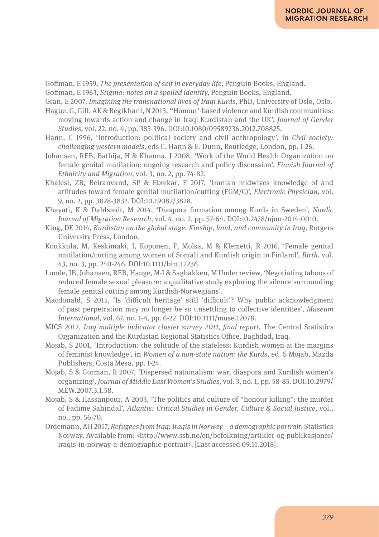Goffman, E 1959, *The presentation of self in everyday life,* Penguin Books, England.

Goffman, E 1963, *Stigma: notes on a spoiled identity,* Penguin Books, England.

Gran, E 2007, *Imagining the transnational lives of Iraqi Kurds,* PhD, University of Oslo, Oslo.

Hague, G, Gill, AK & Begikhani, N 2013, ''Honour'-based violence and Kurdish communities: moving towards action and change in Iraqi Kurdistan and the UK', *Journal of Gender Studies,* vol. 22, no. 4, pp. 383-396. DOI:10.1080/09589236.2012.708825.

- Hann, C 1996, 'Introduction: political society and civil anthropology', in *Civil society: challenging western models,* eds C. Hann & E. Dunn, Routledge, London, pp. 1-26.
- Johansen, REB, Bathija, H & Khanna, J 2008, 'Work of the World Health Organization on female genital mutilation: ongoing research and policy discussion', *Finnish Journal of Ethnicity and Migration,* vol. 3, no. 2, pp. 74-82.
- Khalesi, ZB, Beiranvand, SP & Ebtekar, F 2017, 'Iranian midwives knowledge of and attitudes toward female genital mutilation/cutting (FGM/C)', *Electronic Physician,* vol. 9, no. 2, pp. 3828-3832. DOI:10.19082/3828.
- Khayati, K & Dahlstedt, M 2014, 'Diaspora formation among Kurds in Sweden', *Nordic Journal of Migration Research,* vol. 4, no. 2, pp. 57-64. DOI:10.2478/njmr-2014-0010.
- King, DE 2014, *Kurdistan on the global stage. Kinship, land, and community in Iraq,* Rutgers University Press, London.
- Koukkula, M, Keskimaki, I, Koponen, P, Molsa, M & Klemetti, R 2016, 'Female genital mutilation/cutting among women of Somali and Kurdish origin in Finland', *Birth,* vol. 43, no. 3, pp. 240-246. DOI:10.1111/birt.12236.
- Lunde, IB, Johansen, REB, Hauge, M-I & Sagbakken, M Under review, 'Negotiating taboos of reduced female sexual pleasure: a qualitative study exploring the silence surrounding female genital cutting among Kurdish-Norwegians'.
- Macdonald, S 2015, 'Is 'difficult heritage' still 'difficult'? Why public acknowledgment of past perpetration may no longer be so unsettling to collective identities', *Museum International,* vol. 67, no. 1-4, pp. 6-22. DOI:10.1111/muse.12078.
- MICS 2012, *Iraq multiple indicator cluster survey 2011, final report*, The Central Statistics Organization and the Kurdistan Regional Statistics Office, Baghdad, Iraq.
- Mojab, S 2001, 'Introduction: the solitude of the stateless: Kurdish women at the margins of feminist knowledge', in *Women of a non-state nation: the Kurds,* ed. S Mojab, Mazda Publishers, Costa Mesa, pp. 1-24.
- Mojab, S & Gorman, R 2007, 'Dispersed nationalism: war, diaspora and Kurdish women's organizing', *Journal of Middle East Women's Studies,* vol. 3, no. 1, pp. 58-85. DOI:10.2979/ MEW 2007 3.1.58
- Mojab, S & Hassanpour, A 2003, 'The politics and culture of "honour killing": the murder of Fadime Sahindal', *Atlantis: Critical Studies in Gender, Culture & Social Justice,* vol., no., pp. 56-70.
- Ordemann, AH 2017, *Refugees from Iraq: Iraqis in Norway a demographic portrait*: Statistics Norway. Available from: <http://www.ssb.no/en/befolkning/artikler-og-publikasjoner/ iraqis-in-norway-a-demographic-portrait>. [Last accessed 09.11.2018].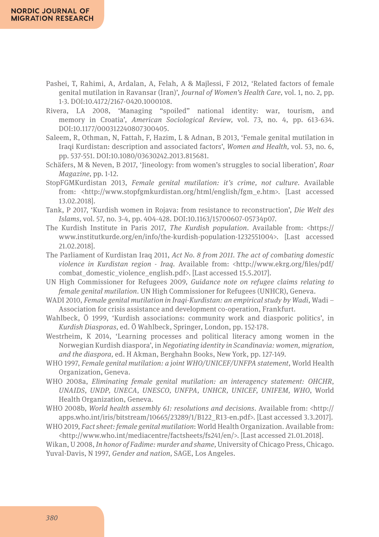- Pashei, T, Rahimi, A, Ardalan, A, Felah, A & Majlessi, F 2012, 'Related factors of female genital mutilation in Ravansar (Iran)', *Journal of Women's Health Care,* vol. 1, no. 2, pp. 1-3. DOI:10.4172/2167-0420.1000108.
- Rivera, LA 2008, 'Managing "spoiled" national identity: war, tourism, and memory in Croatia', *American Sociological Review,* vol. 73, no. 4, pp. 613-634. DOI:10.1177/000312240807300405.
- Saleem, R, Othman, N, Fattah, F, Hazim, L & Adnan, B 2013, 'Female genital mutilation in Iraqi Kurdistan: description and associated factors', *Women and Health,* vol. 53, no. 6, pp. 537-551. DOI:10.1080/03630242.2013.815681.
- Schäfers, M & Neven, B 2017, 'Jineology: from women's struggles to social liberation', *Roar Magazine,* pp. 1-12.
- StopFGMKurdistan 2013, *Female genital mutilation: it's crime, not culture*. Available from: <http://www.stopfgmkurdistan.org/html/english/fgm\_e.htm>. [Last accessed 13.02.2018].
- Tank, P 2017, 'Kurdish women in Rojava: from resistance to reconstruction', *Die Welt des Islams,* vol. 57, no. 3-4, pp. 404-428. DOI:10.1163/15700607-05734p07.
- The Kurdish Institute in Paris 2017, *The Kurdish population*. Available from: <https:// www.institutkurde.org/en/info/the-kurdish-population-1232551004>. [Last accessed 21.02.2018].
- The Parliament of Kurdistan Iraq 2011, *Act No. 8 from 2011. The act of combating domestic violence in Kurdistan region - Iraq.* Available from: <http://www.ekrg.org/files/pdf/ combat\_domestic\_violence\_english.pdf>. [Last accessed 15.5.2017].
- UN High Commissioner for Refugees 2009, *Guidance note on refugee claims relating to female genital mutilation*. UN High Commissioner for Refugees (UNHCR), Geneva.
- WADI 2010, *Female genital mutilation in Iraqi-Kurdistan: an empirical study by Wadi*, Wadi Association for crisis assistance and development co-operation, Frankfurt.
- Wahlbeck, Ö 1999, 'Kurdish associations: community work and diasporic politics', in *Kurdish Diasporas,* ed. Ö Wahlbeck, Springer, London, pp. 152-178.
- Westrheim, K 2014, 'Learning processes and political literacy among women in the Norwegian Kurdish diaspora', in *Negotiating identity in Scandinavia: women, migration, and the diaspora,* ed. H Akman, Berghahn Books, New York, pp. 127-149.
- WHO 1997, *Female genital mutilation: a joint WHO/UNICEF/UNFPA statement*, World Health Organization, Geneva.
- WHO 2008a, *Eliminating female genital mutilation: an interagency statement: OHCHR, UNAIDS, UNDP, UNECA, UNESCO, UNFPA, UNHCR, UNICEF, UNIFEM, WHO*, World Health Organization, Geneva.
- WHO 2008b, *World health assembly 61: resolutions and decisions*. Available from: <http:// apps.who.int/iris/bitstream/10665/23289/1/B122\_R13-en.pdf>. [Last accessed 3.3.2017].
- WHO 2019, *Fact sheet: female genital mutilation*: World Health Organization. Available from: <http://www.who.int/mediacentre/factsheets/fs241/en/>. [Last accessed 21.01.2018].
- Wikan, U 2008, *In honor of Fadime: murder and shame,* University of Chicago Press, Chicago. Yuval-Davis, N 1997, *Gender and nation,* SAGE, Los Angeles.